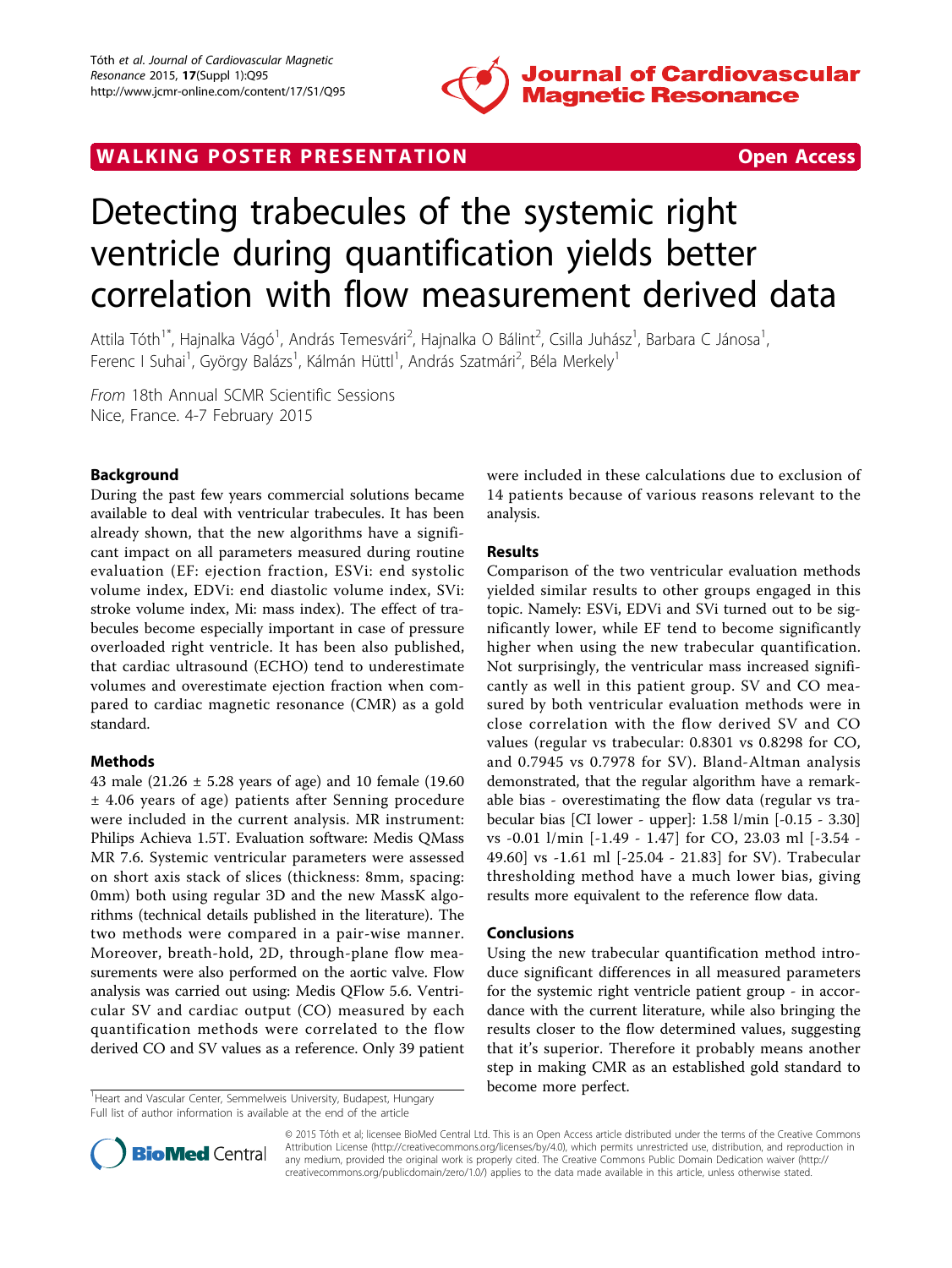

WALKING POSTER PRESENTATION **SECURE 20 YO F ACCESS** 

# Detecting trabecules of the systemic right ventricle during quantification yields better correlation with flow measurement derived data

Attila Tóth<sup>1\*</sup>, Hajnalka Vágó<sup>1</sup>, András Temesvári<sup>2</sup>, Hajnalka O Bálint<sup>2</sup>, Csilla Juhász<sup>1</sup>, Barbara C Jánosa<sup>1</sup> , Ferenc I Suhai<sup>1</sup>, György Balázs<sup>1</sup>, Kálmán Hüttl<sup>1</sup>, András Szatmári<sup>2</sup>, Béla Merkely<sup>1</sup>

From 18th Annual SCMR Scientific Sessions Nice, France. 4-7 February 2015

# Background

During the past few years commercial solutions became available to deal with ventricular trabecules. It has been already shown, that the new algorithms have a significant impact on all parameters measured during routine evaluation (EF: ejection fraction, ESVi: end systolic volume index, EDVi: end diastolic volume index, SVi: stroke volume index, Mi: mass index). The effect of trabecules become especially important in case of pressure overloaded right ventricle. It has been also published, that cardiac ultrasound (ECHO) tend to underestimate volumes and overestimate ejection fraction when compared to cardiac magnetic resonance (CMR) as a gold standard.

## Methods

43 male (21.26 ± 5.28 years of age) and 10 female (19.60 ± 4.06 years of age) patients after Senning procedure were included in the current analysis. MR instrument: Philips Achieva 1.5T. Evaluation software: Medis QMass MR 7.6. Systemic ventricular parameters were assessed on short axis stack of slices (thickness: 8mm, spacing: 0mm) both using regular 3D and the new MassK algorithms (technical details published in the literature). The two methods were compared in a pair-wise manner. Moreover, breath-hold, 2D, through-plane flow measurements were also performed on the aortic valve. Flow analysis was carried out using: Medis QFlow 5.6. Ventricular SV and cardiac output (CO) measured by each quantification methods were correlated to the flow derived CO and SV values as a reference. Only 39 patient

<sup>1</sup> Heart and Vascular Center, Semmelweis University, Budapest, Hungary **become more perfect.** Full list of author information is available at the end of the article

were included in these calculations due to exclusion of 14 patients because of various reasons relevant to the analysis.

# Results

Comparison of the two ventricular evaluation methods yielded similar results to other groups engaged in this topic. Namely: ESVi, EDVi and SVi turned out to be significantly lower, while EF tend to become significantly higher when using the new trabecular quantification. Not surprisingly, the ventricular mass increased significantly as well in this patient group. SV and CO measured by both ventricular evaluation methods were in close correlation with the flow derived SV and CO values (regular vs trabecular: 0.8301 vs 0.8298 for CO, and 0.7945 vs 0.7978 for SV). Bland-Altman analysis demonstrated, that the regular algorithm have a remarkable bias - overestimating the flow data (regular vs trabecular bias [CI lower - upper]: 1.58 l/min [-0.15 - 3.30] vs -0.01 l/min [-1.49 - 1.47] for CO, 23.03 ml [-3.54 - 49.60] vs -1.61 ml [-25.04 - 21.83] for SV). Trabecular thresholding method have a much lower bias, giving results more equivalent to the reference flow data.

### Conclusions

Using the new trabecular quantification method introduce significant differences in all measured parameters for the systemic right ventricle patient group - in accordance with the current literature, while also bringing the results closer to the flow determined values, suggesting that it's superior. Therefore it probably means another step in making CMR as an established gold standard to



© 2015 Tóth et al; licensee BioMed Central Ltd. This is an Open Access article distributed under the terms of the Creative Commons Attribution License [\(http://creativecommons.org/licenses/by/4.0](http://creativecommons.org/licenses/by/4.0)), which permits unrestricted use, distribution, and reproduction in any medium, provided the original work is properly cited. The Creative Commons Public Domain Dedication waiver [\(http://](http://creativecommons.org/publicdomain/zero/1.0/) [creativecommons.org/publicdomain/zero/1.0/](http://creativecommons.org/publicdomain/zero/1.0/)) applies to the data made available in this article, unless otherwise stated.